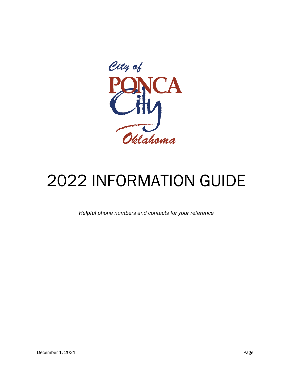

# 2022 INFORMATION GUIDE

*Helpful phone numbers and contacts for your reference*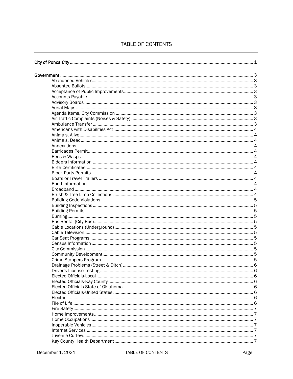# TABLE OF CONTENTS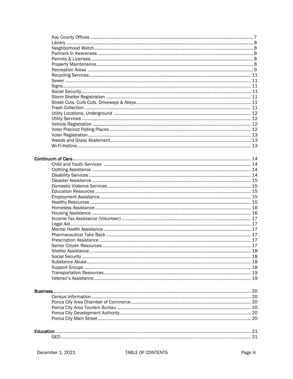|  | 13 |
|--|----|
|  |    |

## Continuum of Care

| Business |  |
|----------|--|
|          |  |
|          |  |
|          |  |
|          |  |
|          |  |
|          |  |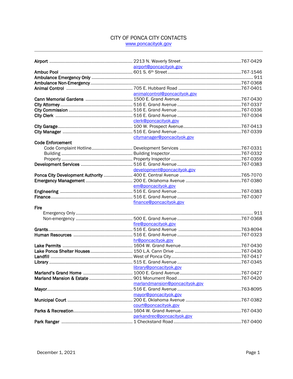## CITY OF PONCA CITY CONTACTS www.poncacityok.gov

|                         | airport@poncacityok.gov        |  |
|-------------------------|--------------------------------|--|
|                         |                                |  |
|                         |                                |  |
|                         |                                |  |
|                         |                                |  |
|                         | animalcontrol@poncacityok.gov  |  |
|                         |                                |  |
|                         |                                |  |
|                         |                                |  |
|                         |                                |  |
|                         | clerk@poncacityok.gov          |  |
|                         |                                |  |
|                         |                                |  |
|                         | citymanager@poncacityok.gov    |  |
| <b>Code Enforcement</b> |                                |  |
|                         |                                |  |
|                         |                                |  |
|                         |                                |  |
|                         |                                |  |
|                         |                                |  |
|                         | development@poncacityok.gov    |  |
|                         |                                |  |
|                         |                                |  |
|                         | em@poncacityok.gov             |  |
|                         |                                |  |
|                         |                                |  |
|                         | finance@poncacityok.gov        |  |
| <b>Fire</b>             |                                |  |
|                         |                                |  |
|                         |                                |  |
|                         | fire@poncacityok.gov           |  |
|                         |                                |  |
|                         |                                |  |
|                         | hr@poncacityok.gov             |  |
|                         |                                |  |
|                         |                                |  |
|                         |                                |  |
|                         |                                |  |
|                         |                                |  |
|                         | library@poncacityok.gov        |  |
|                         |                                |  |
|                         |                                |  |
|                         | marlandmansion@poncacityok.gov |  |
|                         |                                |  |
|                         | mayor@poncacityok.gov          |  |
|                         |                                |  |
|                         | court@poncacityok.gov          |  |
|                         |                                |  |
|                         | parkandrec@poncacityok.gov     |  |
|                         |                                |  |
|                         |                                |  |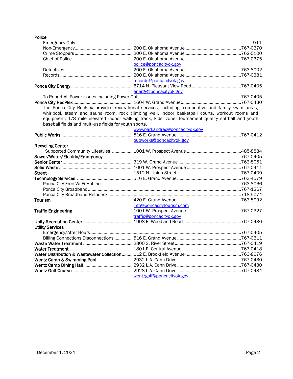| Police      |  |
|-------------|--|
| Emergency O |  |
| Non-Emerger |  |

|                                                                                                      | police@poncacitvok.gov         |  |
|------------------------------------------------------------------------------------------------------|--------------------------------|--|
|                                                                                                      |                                |  |
|                                                                                                      |                                |  |
|                                                                                                      | records@poncacitvok.gov        |  |
|                                                                                                      |                                |  |
|                                                                                                      | energy@poncacityok.gov         |  |
|                                                                                                      |                                |  |
|                                                                                                      |                                |  |
| The Ponca City RecPlex provides recreational services, including: competitive and family swim areas, |                                |  |
| whirlpool, steam and sauna room, rock climbing wall, indoor basketball courts, workout rooms and     |                                |  |
| equipment, 1/8 mile elevated indoor walking track, kids' zone, tournament quality softball and youth |                                |  |
| baseball fields and multi-use fields for youth sports.                                               |                                |  |
|                                                                                                      | www.parkandrec@poncacityok.gov |  |
|                                                                                                      |                                |  |
|                                                                                                      | pubworks@poncacityok.gov       |  |
| <b>Recycling Center</b>                                                                              |                                |  |
|                                                                                                      |                                |  |
|                                                                                                      |                                |  |
|                                                                                                      |                                |  |
|                                                                                                      |                                |  |
|                                                                                                      |                                |  |
|                                                                                                      |                                |  |
|                                                                                                      |                                |  |
|                                                                                                      |                                |  |
|                                                                                                      |                                |  |
|                                                                                                      |                                |  |
|                                                                                                      | info@poncacitytourism.com      |  |
|                                                                                                      |                                |  |
|                                                                                                      | traffic@poncacityok.gov        |  |
|                                                                                                      |                                |  |
| <b>Utility Services</b>                                                                              |                                |  |
|                                                                                                      |                                |  |
|                                                                                                      |                                |  |
|                                                                                                      |                                |  |
|                                                                                                      |                                |  |
|                                                                                                      |                                |  |
|                                                                                                      |                                |  |
|                                                                                                      |                                |  |
|                                                                                                      |                                |  |
|                                                                                                      | wentzgolf@poncacityok.gov      |  |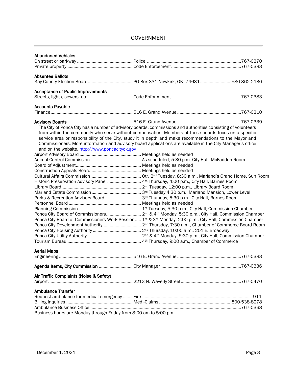# GOVERNMENT

| Business hours are Monday through Friday from 8:00 am to 5:00 pm.                                            |  |
|--------------------------------------------------------------------------------------------------------------|--|
|                                                                                                              |  |
| <b>Ambulance Transfer</b>                                                                                    |  |
| Air Traffic Complaints (Noise & Safety)                                                                      |  |
|                                                                                                              |  |
|                                                                                                              |  |
| <b>Aerial Maps</b>                                                                                           |  |
|                                                                                                              |  |
|                                                                                                              |  |
|                                                                                                              |  |
| Ponca City Board of Commissioners Work Session  1st & 3rd Monday, 2:00 p.m., City Hall, Commission Chamber   |  |
|                                                                                                              |  |
|                                                                                                              |  |
|                                                                                                              |  |
| Parks & Recreation Advisory Board  3 <sup>rd</sup> Thursday, 5:30 p.m., City Hall, Barnes Room               |  |
|                                                                                                              |  |
|                                                                                                              |  |
| Historic Preservation Advisory Panel  4 <sup>th</sup> Thursday, 4:00 p.m., City Hall, Barnes Room            |  |
|                                                                                                              |  |
|                                                                                                              |  |
|                                                                                                              |  |
|                                                                                                              |  |
|                                                                                                              |  |
| and on the website, http://www.poncacityok.gov                                                               |  |
| Commissioners. More information and advisory board applications are available in the City Manager's office   |  |
| service area or responsibility of the City, study it in depth and make recommendations to the Mayor and      |  |
| from within the community who serve without compensation. Members of these boards focus on a specific        |  |
| The City of Ponca City has a number of advisory boards, commissions and authorities consisting of volunteers |  |
|                                                                                                              |  |
|                                                                                                              |  |
| <b>Accounts Payable</b>                                                                                      |  |
| <b>Acceptance of Public Improvements</b>                                                                     |  |
|                                                                                                              |  |
| <b>Absentee Ballots</b>                                                                                      |  |
|                                                                                                              |  |
|                                                                                                              |  |
| <b>Abandoned Vehicles</b>                                                                                    |  |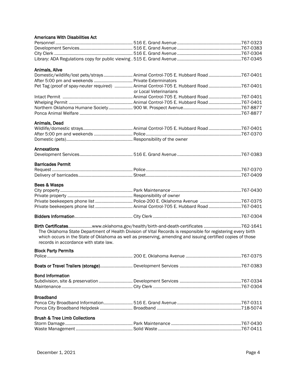| Americans With Disabilities Act                   |                                                                                                                                                                                                                             |  |
|---------------------------------------------------|-----------------------------------------------------------------------------------------------------------------------------------------------------------------------------------------------------------------------------|--|
|                                                   |                                                                                                                                                                                                                             |  |
|                                                   |                                                                                                                                                                                                                             |  |
|                                                   |                                                                                                                                                                                                                             |  |
|                                                   |                                                                                                                                                                                                                             |  |
| Animals, Alive                                    |                                                                                                                                                                                                                             |  |
|                                                   | Domestic/wildlife/lost pets/strays  Animal Control-705 E. Hubbard Road 767-0401                                                                                                                                             |  |
| After 5:00 pm and weekends  Private Exterminators |                                                                                                                                                                                                                             |  |
|                                                   | Pet Tag (proof of spay-neuter required)  Animal Control-705 E. Hubbard Road 767-0401<br>or Local Veterinarians                                                                                                              |  |
|                                                   |                                                                                                                                                                                                                             |  |
|                                                   |                                                                                                                                                                                                                             |  |
|                                                   |                                                                                                                                                                                                                             |  |
|                                                   |                                                                                                                                                                                                                             |  |
| Animals, Dead                                     |                                                                                                                                                                                                                             |  |
|                                                   |                                                                                                                                                                                                                             |  |
|                                                   |                                                                                                                                                                                                                             |  |
|                                                   |                                                                                                                                                                                                                             |  |
| Annexations                                       |                                                                                                                                                                                                                             |  |
|                                                   |                                                                                                                                                                                                                             |  |
| <b>Barricades Permit</b>                          |                                                                                                                                                                                                                             |  |
|                                                   |                                                                                                                                                                                                                             |  |
|                                                   |                                                                                                                                                                                                                             |  |
| Bees & Wasps                                      |                                                                                                                                                                                                                             |  |
|                                                   |                                                                                                                                                                                                                             |  |
|                                                   |                                                                                                                                                                                                                             |  |
|                                                   |                                                                                                                                                                                                                             |  |
|                                                   |                                                                                                                                                                                                                             |  |
|                                                   |                                                                                                                                                                                                                             |  |
|                                                   | Birth Certificateswww.oklahoma.gov/health/birth-and-death-certificates762-1641                                                                                                                                              |  |
| records in accordance with state law.             | The Oklahoma State Department of Health Division of Vital Records is responsible for registering every birth<br>which occurs in the State of Oklahoma as well as preserving, amending and issuing certified copies of those |  |
| <b>Block Party Permits</b>                        |                                                                                                                                                                                                                             |  |
|                                                   |                                                                                                                                                                                                                             |  |
|                                                   |                                                                                                                                                                                                                             |  |
| <b>Bond Information</b>                           |                                                                                                                                                                                                                             |  |
|                                                   |                                                                                                                                                                                                                             |  |
|                                                   |                                                                                                                                                                                                                             |  |
| <b>Broadband</b>                                  |                                                                                                                                                                                                                             |  |
|                                                   |                                                                                                                                                                                                                             |  |
|                                                   |                                                                                                                                                                                                                             |  |
| <b>Brush &amp; Tree Limb Collections</b>          |                                                                                                                                                                                                                             |  |
|                                                   |                                                                                                                                                                                                                             |  |
|                                                   |                                                                                                                                                                                                                             |  |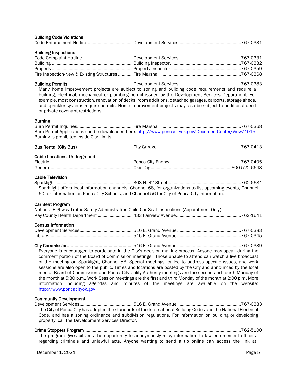| <b>Building Code Violations</b>                                                                                         |                                                                                                                                                                                                                                                                                                                                                                                                                                                                                                                                                                                                                                                                                                                                                                    |  |
|-------------------------------------------------------------------------------------------------------------------------|--------------------------------------------------------------------------------------------------------------------------------------------------------------------------------------------------------------------------------------------------------------------------------------------------------------------------------------------------------------------------------------------------------------------------------------------------------------------------------------------------------------------------------------------------------------------------------------------------------------------------------------------------------------------------------------------------------------------------------------------------------------------|--|
| <b>Building Inspections</b>                                                                                             |                                                                                                                                                                                                                                                                                                                                                                                                                                                                                                                                                                                                                                                                                                                                                                    |  |
| or private covenant restrictions.                                                                                       | Many home improvement projects are subject to zoning and building code requirements and require a<br>building, electrical, mechanical or plumbing permit issued by the Development Services Department. For<br>example, most construction, renovation of decks, room additions, detached garages, carports, storage sheds,<br>and sprinkler systems require permits. Home improvement projects may also be subject to additional deed                                                                                                                                                                                                                                                                                                                              |  |
| <b>Burning</b><br>Burning is prohibited inside City Limits.                                                             | Burn Permit Applications can be downloaded here: http://www.poncacityok.gov/DocumentCenter/View/4015                                                                                                                                                                                                                                                                                                                                                                                                                                                                                                                                                                                                                                                               |  |
|                                                                                                                         |                                                                                                                                                                                                                                                                                                                                                                                                                                                                                                                                                                                                                                                                                                                                                                    |  |
| <b>Cable Locations, Underground</b>                                                                                     |                                                                                                                                                                                                                                                                                                                                                                                                                                                                                                                                                                                                                                                                                                                                                                    |  |
| <b>Cable Television</b><br>60 for information on Ponca City Schools, and Channel 56 for City of Ponca City information. | Sparklight offers local information channels: Channel 68, for organizations to list upcoming events, Channel                                                                                                                                                                                                                                                                                                                                                                                                                                                                                                                                                                                                                                                       |  |
| <b>Car Seat Program</b><br>National Highway Traffic Safety Administration Child Car Seat Inspections (Appointment Only) |                                                                                                                                                                                                                                                                                                                                                                                                                                                                                                                                                                                                                                                                                                                                                                    |  |
| <b>Census Information</b>                                                                                               |                                                                                                                                                                                                                                                                                                                                                                                                                                                                                                                                                                                                                                                                                                                                                                    |  |
| http://www.poncacityok.gov                                                                                              | Everyone is encouraged to participate in the City's decision-making process. Anyone may speak during the<br>comment portion of the Board of Commission meetings. Those unable to attend can watch a live broadcast<br>of the meeting on Sparklight, Channel 56. Special meetings, called to address specific issues, and work<br>sessions are also open to the public. Times and locations are posted by the City and announced by the local<br>media. Board of Commission and Ponca City Utility Authority meetings are the second and fourth Monday of<br>the month at 5:30 p.m., Work Session meetings are the first and third Monday of the month at 2:00 p.m. More<br>information including agendas and minutes of the meetings are available on the website: |  |
| <b>Community Development</b>                                                                                            | The City of Ponca City has adopted the standards of the International Building Codes and the National Electrical<br>Code, and has a zoning ordinance and subdivision regulations. For information on building or developing                                                                                                                                                                                                                                                                                                                                                                                                                                                                                                                                        |  |

Crime Stoppers Program..................................................................................................................................762-5100 The program gives citizens the opportunity to anonymously relay information to law enforcement officers regarding criminals and unlawful acts. Anyone wanting to send a tip online can access the link at

property, call the Development Services Director.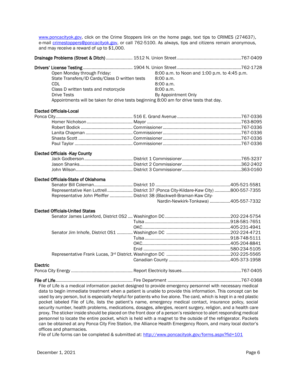[www.poncacityok.gov,](http://www.poncacityok.gov/) click on the Crime Stoppers link on the home page, text tips to CRIMES (274637), e-mail [crimestoppers@poncacityok.gov,](mailto:crimestoppers@poncacityok.gov) or call 762-5100. As always, tips and citizens remain anonymous, and may receive a reward of up to \$1,000.

|--|--|--|

| Open Monday through Friday:                                                            | 8:00 a.m. to Noon and 1:00 p.m. to 4:45 p.m. |  |
|----------------------------------------------------------------------------------------|----------------------------------------------|--|
| State Transfers/ID Cards/Class D written tests                                         | 8:00 a.m.                                    |  |
| CDL                                                                                    | 8:00a.m.                                     |  |
| Class D written tests and motorcycle                                                   | 8:00a.m.                                     |  |
| <b>Drive Tests</b>                                                                     | By Appointment Only                          |  |
| Appointments will be taken for drive tests beginning 8:00 am for drive tests that day. |                                              |  |

#### Elected Officials-Local

#### Elected Officials -Kay County

#### Elected Officials-State of Oklahoma

| Representative Ken Luttrell  District 37 (Ponca City-Kildare-Kaw City) 800-557-7355 |                                      |  |
|-------------------------------------------------------------------------------------|--------------------------------------|--|
| Representative John Pfeiffer  District 38 (Blackwell-Braman-Kaw City-               |                                      |  |
|                                                                                     | Nardin-Newkirk-Tonkawa) 405-557-7332 |  |

#### Elected Officials-United States

| Electric |  |
|----------|--|
|          |  |

File of Life................................................................ Fire Department .............................................................767-0368 File of Life is a medical information packet designed to provide emergency personnel with necessary medical data to begin immediate treatment when a patient is unable to provide this information. This concept can be used by any person, but is especially helpful for patients who live alone. The card, which is kept in a red plastic pocket labeled File of Life, lists the patient's name, emergency medical contact, insurance policy, social security number, health problems, medications, dosages, allergies, recent surgery, religion, and a health care proxy. The sticker inside should be placed on the front door of a person's residence to alert responding medical personnel to locate the entire pocket, which is held with a magnet to the outside of the refrigerator. Packets can be obtained at any Ponca City Fire Station, the Alliance Health Emergency Room, and many local doctor's offices and pharmacies.

File of Life forms can be completed & submitted at:<http://www.poncacityok.gov/forms.aspx?fid=101>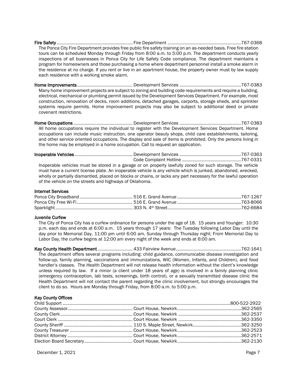Fire Safety ............................................................... Fire Department .............................................................767-0368 The Ponca City Fire Department provides free public fire safety training on an as-needed basis. Free fire station tours can be scheduled Monday through Friday from 8:00 a.m. to 5:00 p.m. The department conducts yearly inspections of all businesses in Ponca City for Life Safety Code compliance. The department maintains a program for homeowners and those purchasing a home where department personnel install a smoke alarm in the residence at no charge. If you rent or live in an apartment house, the property owner must by law supply each residence with a working smoke alarm.

Home Improvements.............................................. Development Services ...................................................767-0383 Many home improvement projects are subject to zoning and building code requirements and require a building, electrical, mechanical or plumbing permit issued by the Development Services Department. For example, most construction, renovation of decks, room additions, detached garages, carports, storage sheds, and sprinkler systems require permits. Home improvement projects may also be subject to additional deed or private covenant restrictions.

Home Occupations ................................................. Development Services ...................................................767-0383 All home occupations require the individual to register with the Development Services Department. Home occupations can include music instruction, one operator beauty shops, child care establishments, tailoring, and other service oriented occupations. The display and sale of items is prohibited. Only the persons living in the home may be employed in a home occupation. Call to request an application.

|                                                         | Inoperable vehicles must be stored in a garage or on property lawfully zoned for such storage. The vehicle<br>must have a current license plate. An inoperable vehicle is any vehicle which is junked, abandoned, wrecked, |  |
|---------------------------------------------------------|----------------------------------------------------------------------------------------------------------------------------------------------------------------------------------------------------------------------------|--|
| of the vehicle on the streets and highways of Oklahoma. | wholly or partially dismantled, placed on blocks or chains, or lacks any part necessary for the lawful operation                                                                                                           |  |

#### Internet Services

#### Juvenile Curfew

The City of Ponca City has a curfew ordinance for persons under the age of 18. 15 years and Younger: 10:30 p.m. each day and ends at 6:00 a.m. 15 years through 17 years: The Tuesday following Labor Day until the day prior to Memorial Day, 11:00 pm until 6:00 am, Sunday through Thursday night; From Memorial Day to Labor Day, the curfew begins at 12:00 am every night of the week and ends at 6:00 am.

Kay County Health Department ............................. 433 Fairview Avenue......................................................762-1641 The department offers several programs including: child guidance, communicable disease investigation and follow-up, family planning, vaccinations and immunizations, WIC (Women, Infants, and Children), and food handler's classes. The Health Department will not release health information without the client's knowledge unless required by law. If a minor (a client under 18 years of age) is involved in a family planning clinic (emergency contraception, lab tests, screenings, birth control), or a sexually transmitted disease clinic the Health Department will not contact the parent regarding the clinic involvement, but strongly encourages the client to do so. Hours are Monday through Friday, from 8:00 a.m. to 5:00 p.m.

#### Kay County Offices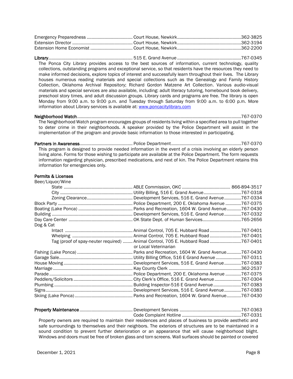Library...................................................................... 515 E. Grand Avenue .....................................................767-0345 The Ponca City Library provides access to the best sources of information, current technology, quality collections, outstanding programs and exceptional service, so that residents have the resources they need to make informed decisions, explore topics of interest and successfully learn throughout their lives. The Library houses numerous reading materials and special collections such as the Genealogy and Family History Collection, Oklahoma Archival Repository; Richard Gordon Matzene Art Collection. Various audio-visual materials and special services are also available, including: adult literacy tutoring, homebound book delivery, preschool story times, and adult discussion groups. Library cards and programs are free. The library is open Monday from 9:00 a.m. to 9:00 p.m. and Tuesday through Saturday from 9:00 a.m. to 6:00 p.m. More information about Library services is available at: [www.poncacitylibrary.com](http://www.poncacitylibrary.com/)

Neighborhood Watch........................................................................................................................................767-0370 The Neighborhood Watch program encourages groups of residents living within a specified area to pull together to deter crime in their neighborhoods. A speaker provided by the Police Department will assist in the implementation of the program and provide basic information to those interested in participating.

Partners in Awareness............................................ Police Department..........................................................767-0370 This program is designed to provide needed information in the event of a crisis involving an elderly person living alone. Forms for those wishing to participate are available at the Police Department. The form requests information regarding physician, prescribed medications, and next of kin. The Police Department retains this information for emergencies only.

#### Permits & Licenses

| Beer/Liquor/Wine |                                                                                   |
|------------------|-----------------------------------------------------------------------------------|
|                  |                                                                                   |
|                  |                                                                                   |
|                  | Development Services, 516 E. Grand Avenue767-0334                                 |
|                  |                                                                                   |
|                  |                                                                                   |
|                  | Development Services, 516 E. Grand Avenue767-0332                                 |
|                  |                                                                                   |
| Dog & Cat        |                                                                                   |
|                  |                                                                                   |
|                  |                                                                                   |
|                  | Tag (proof of spay-neuter required)  Animal Control, 705 E. Hubbard Road 767-0401 |
|                  | or Local Veterinarian                                                             |
|                  |                                                                                   |
|                  |                                                                                   |
|                  | Development Services, 516 E. Grand Avenue767-0383                                 |
|                  | 362-2537                                                                          |
|                  | Police Department, 200 E. Oklahoma Avenue 767-0375                                |
|                  |                                                                                   |
|                  |                                                                                   |
|                  | Development Services, 516 E. Grand Avenue767-0383                                 |
|                  |                                                                                   |

| The company of the company of the contracts all the settlesses and slower of leadership and second and complete and |  |
|---------------------------------------------------------------------------------------------------------------------|--|

Property owners are required to maintain their residences and places of business to provide aesthetic and safe surroundings to themselves and their neighbors. The exteriors of structures are to be maintained in a sound condition to prevent further deterioration or an appearance that will cause neighborhood blight. Windows and doors must be free of broken glass and torn screens. Wall surfaces should be painted or covered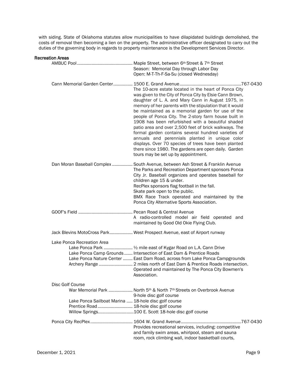with siding. State of Oklahoma statutes allow municipalities to have dilapidated buildings demolished, the costs of removal then becoming a lien on the property. The administrative officer designated to carry out the duties of the governing body in regards to property maintenance is the Development Services Director.

#### Recreation Areas

|                                                                                                                    | Season: Memorial Day through Labor Day<br>Open: M-T-Th-F-Sa-Su (closed Wednesday)                                                                                                                                                                                                                                                                                                                                                                                                                                                                                                                                                                                                                                               |
|--------------------------------------------------------------------------------------------------------------------|---------------------------------------------------------------------------------------------------------------------------------------------------------------------------------------------------------------------------------------------------------------------------------------------------------------------------------------------------------------------------------------------------------------------------------------------------------------------------------------------------------------------------------------------------------------------------------------------------------------------------------------------------------------------------------------------------------------------------------|
|                                                                                                                    | The 10-acre estate located in the heart of Ponca City<br>was given to the City of Ponca City by Elsie Cann Brown,<br>daughter of L. A. and Mary Cann in August 1975, in<br>memory of her parents with the stipulation that it would<br>be maintained as a memorial garden for use of the<br>people of Ponca City. The 2-story farm house built in<br>1908 has been refurbished with a beautiful shaded<br>patio area and over 2,500 feet of brick walkways. The<br>formal garden contains several hundred varieties of<br>annuals and perennials planted in unique color<br>displays. Over 70 species of trees have been planted<br>there since 1980. The gardens are open daily. Garden<br>tours may be set up by appointment. |
|                                                                                                                    | Dan Moran Baseball Complex  South Avenue, between Ash Street & Franklin Avenue<br>The Parks and Recreation Department sponsors Ponca<br>City Jr. Baseball organizes and operates baseball for<br>children age 15 & under.<br>RecPlex sponsors flag football in the fall.<br>Skate park open to the public.<br>BMX Race Track operated and maintained by the<br>Ponca City Alternative Sports Association.                                                                                                                                                                                                                                                                                                                       |
|                                                                                                                    | A radio-controlled model air field operated and<br>maintained by Good Old Okie Flying Club.                                                                                                                                                                                                                                                                                                                                                                                                                                                                                                                                                                                                                                     |
|                                                                                                                    | Jack Blevins MotoCross Park West Prospect Avenue, east of Airport runway                                                                                                                                                                                                                                                                                                                                                                                                                                                                                                                                                                                                                                                        |
| Lake Ponca Recreation Area                                                                                         | Lake Ponca Camp Grounds  Intersection of East Dam & Prentice Roads<br>Lake Ponca Nature Center  East Dam Road, across from Lake Ponca Campgrounds<br>Archery Range  2 miles north of East Dam & Prentice Roads intersection.<br>Operated and maintained by The Ponca City Bowmen's<br>Association.                                                                                                                                                                                                                                                                                                                                                                                                                              |
| Disc Golf Course<br>Lake Ponca Sailboat Marina  18-hole disc golf course<br>Prentice Road 18-hole disc golf course | War Memorial Park  North 5 <sup>th</sup> & North 7 <sup>th</sup> Streets on Overbrook Avenue<br>9-hole disc golf course<br>Willow Springs100 E. Scott 18-hole disc golf course                                                                                                                                                                                                                                                                                                                                                                                                                                                                                                                                                  |
|                                                                                                                    | Provides recreational services, including: competitive<br>and family swim areas, whirlpool, steam and sauna<br>room, rock climbing wall, indoor basketball courts,                                                                                                                                                                                                                                                                                                                                                                                                                                                                                                                                                              |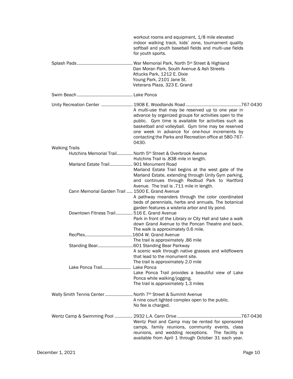|                                                             | workout rooms and equipment, 1/8 mile elevated<br>indoor walking track, kids' zone, tournament quality<br>softball and youth baseball fields and multi-use fields<br>for youth sports.                                                                                                                                                           |
|-------------------------------------------------------------|--------------------------------------------------------------------------------------------------------------------------------------------------------------------------------------------------------------------------------------------------------------------------------------------------------------------------------------------------|
|                                                             | Dan Moran Park, South Avenue & Ash Streets<br>Attucks Park, 1212 E. Dixie<br>Young Park, 2101 Jane St.<br>Veterans Plaza, 323 E. Grand                                                                                                                                                                                                           |
|                                                             |                                                                                                                                                                                                                                                                                                                                                  |
|                                                             | A multi-use that may be reserved up to one year in<br>advance by organized groups for activities open to the<br>public. Gym time is available for activities such as<br>basketball and volleyball. Gym time may be reserved<br>one week in advance for one-hour increments by<br>contacting the Parks and Recreation office at 580-767-<br>0430. |
| <b>Walking Trails</b>                                       |                                                                                                                                                                                                                                                                                                                                                  |
|                                                             | Hutchins Memorial Trail North 5th Street & Overbrook Avenue<br>Hutchins Trail is .838 mile in length.                                                                                                                                                                                                                                            |
| Marland Estate Trail 901 Monument Road                      | Marland Estate Trail begins at the west gate of the<br>Marland Estate, extending through Unity Gym parking,<br>and continues through Redbud Park to Hartford<br>Avenue. The trail is .711 mile in length.                                                                                                                                        |
| Cann Memorial Garden Trail  1500 E. Grand Avenue            | A pathway meanders through the color coordinated<br>beds of perennials, herbs and annuals. The botanical<br>garden features a wisteria arbor and lily pond.                                                                                                                                                                                      |
| Downtown Fitness Trail 516 E. Grand Avenue                  | Park in front of the Library or City Hall and take a walk<br>down Grand Avenue to the Poncan Theatre and back.<br>The walk is approximately 0.6 mile.                                                                                                                                                                                            |
|                                                             | The trail is approximately .86 mile                                                                                                                                                                                                                                                                                                              |
|                                                             | A scenic walk through native grasses and wildflowers<br>that lead to the monument site.<br>The trail is approximately 2.0 mile                                                                                                                                                                                                                   |
| Lake Ponca Trail                                            | Lake Ponca<br>Lake Ponca Trail provides a beautiful view of Lake<br>Ponca while walking/jogging.<br>The trail is approximately 1.3 miles                                                                                                                                                                                                         |
| Wally Smith Tennis Center  North 7th Street & Summit Avenue | A nine court lighted complex open to the public.<br>No fee is charged.                                                                                                                                                                                                                                                                           |
|                                                             | Wentz Pool and Camp may be rented for sponsored<br>camps, family reunions, community events, class<br>reunions, and wedding receptions. The facility is<br>available from April 1 through October 31 each year.                                                                                                                                  |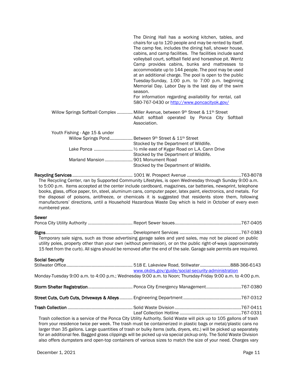|                                                                      | The Dining Hall has a working kitchen, tables, and<br>chairs for up to 120 people and may be rented by itself.<br>The camp fee, includes the dining hall, shower house,<br>cabins, and camp facilities. The facilities include sand<br>volleyball court, softball field and horseshoe pit. Wentz<br>Camp provides cabins, bunks and mattresses to<br>accommodate up to 144 people. The pool may be used<br>at an additional charge. The pool is open to the public<br>Tuesday-Sunday, 1:00 p.m. to 7:00 p.m. beginning<br>Memorial Day. Labor Day is the last day of the swim<br>season.<br>For information regarding availability for rental, call<br>580-767-0430 or http://www.poncacityok.gov/ |
|----------------------------------------------------------------------|----------------------------------------------------------------------------------------------------------------------------------------------------------------------------------------------------------------------------------------------------------------------------------------------------------------------------------------------------------------------------------------------------------------------------------------------------------------------------------------------------------------------------------------------------------------------------------------------------------------------------------------------------------------------------------------------------|
|                                                                      | Willow Springs Softball Complex  Miller Avenue, between 9th Street & 11 <sup>th</sup> Street<br>Adult softball operated by Ponca City Softball<br>Association.                                                                                                                                                                                                                                                                                                                                                                                                                                                                                                                                     |
| Youth Fishing - Age 15 & under<br>Marland Mansion  901 Monument Road | Willow Springs Pond Between 9th Street & 11th Street<br>Stocked by the Department of Wildlife.<br>Stocked by the Department of Wildlife.<br>Stocked by the Department of Wildlife.                                                                                                                                                                                                                                                                                                                                                                                                                                                                                                                 |

Recycling Services .................................................. 1001 W. Prospect Avenue .............................................763-8078 The Recycling Center, ran by Supported Community Lifestyles, is open Wednesday through Sunday 9:00 a.m. to 5:00 p.m. Items accepted at the center include cardboard, magazines, car batteries, newsprint, telephone books, glass, office paper, tin, steel, aluminum cans, computer paper, latex paint, electronics, and metals. For the disposal of poisons, antifreeze, or chemicals it is suggested that residents store them, following manufacturers' directions, until a Household Hazardous Waste Day which is held in October of every even numbered year.

#### Sewer

| Temporary sale signs, such as those advertising garage sales and yard sales, may not be placed on public<br>utility poles, property other than your own (without permission), or on the public right-of-ways (approximately<br>15 feet from the curb). All signs should be removed after the end of the sale. Garage sale permits are required. |                                                    |  |
|-------------------------------------------------------------------------------------------------------------------------------------------------------------------------------------------------------------------------------------------------------------------------------------------------------------------------------------------------|----------------------------------------------------|--|
| <b>Social Security</b>                                                                                                                                                                                                                                                                                                                          |                                                    |  |
|                                                                                                                                                                                                                                                                                                                                                 |                                                    |  |
|                                                                                                                                                                                                                                                                                                                                                 | www.okdrs.gov/guide/social-security-administration |  |
| Monday-Tuesday 9:00 a.m. to 4:00 p.m.; Wednesday 9:00 a.m. to Noon; Thursday-Friday 9:00 a.m. to 4:00 p.m.                                                                                                                                                                                                                                      |                                                    |  |
|                                                                                                                                                                                                                                                                                                                                                 |                                                    |  |
|                                                                                                                                                                                                                                                                                                                                                 |                                                    |  |
|                                                                                                                                                                                                                                                                                                                                                 |                                                    |  |
|                                                                                                                                                                                                                                                                                                                                                 |                                                    |  |
| Trash collection is a service of the Ponca City Utility Authority. Solid Waste will pick up to 105 gallons of trash<br>from your residence twice ner week. The trash must be containerized in plastic hags or metal/plastic cans no                                                                                                             |                                                    |  |

from your residence twice per week. The trash must be containerized in plastic bags or metal/plastic cans no larger than 35 gallons. Large quantities of trash or bulky items (sofa, dryers, etc.) will be picked up separately for an additional fee. Bagged grass clippings will be picked up via special pickup only. The Solid Waste Division also offers dumpsters and open-top containers of various sizes to match the size of your need. Charges vary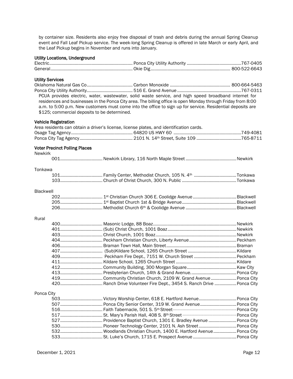by container size. Residents also enjoy free disposal of trash and debris during the annual Spring Cleanup event and Fall Leaf Pickup service. The week-long Spring Cleanup is offered in late March or early April, and the Leaf Pickup begins in November and runs into January.

#### Utility Locations, Underground

| General. |  |
|----------|--|

#### Utility Services

Oklahoma Natural Gas Co...................................... Carbon Monoxide .................................................. 800-664-5463 Ponca City Utility Authority...................................... 516 E. Grand Avenue .....................................................767-0311 PCUA provides electric, water, wastewater, solid waste service, and high speed broadband internet for residences and businesses in the Ponca City area. The billing office is open Monday through Friday from 8:00 a.m. to 5:00 p.m. New customers must come into the office to sign up for service. Residential deposits are \$125; commercial deposits to be determined.

#### Vehicle Registration

| Area residents can obtain a driver's license, license plates, and identification cards. |  |
|-----------------------------------------------------------------------------------------|--|
|                                                                                         |  |
|                                                                                         |  |

#### Voter Precinct Polling Places

Newkirk

|--|--|--|--|--|--|

#### Tonkawa

#### Blackwell

#### Rural

#### Ponca City

| 503 Victory Worship Center, 618 E. Hartford Avenue Ponca City |  |
|---------------------------------------------------------------|--|
|                                                               |  |
|                                                               |  |
|                                                               |  |
|                                                               |  |
|                                                               |  |
|                                                               |  |
|                                                               |  |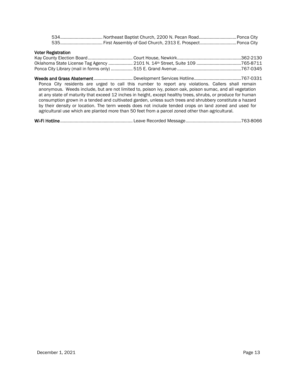#### Voter Registration

Weeds and Grass Abatement ................................ Development Services Hotline.......................................767-0331 Ponca City residents are urged to call this number to report any violations. Callers shall remain anonymous. Weeds include, but are not limited to, poison ivy, poison oak, poison sumac, and all vegetation at any state of maturity that exceed 12 inches in height, except healthy trees, shrubs, or produce for human consumption grown in a tended and cultivated garden, unless such trees and shrubbery constitute a hazard by their density or location. The term weeds does not include tended crops on land zoned and used for agricultural use which are planted more than 50 feet from a parcel zoned other than agricultural.

Wi-Fi Hotline............................................................ Leave Recorded Message..............................................763-8066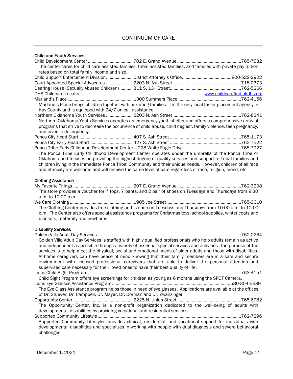# Child and Youth Services

|                                                          | The center cares for child care assisted families, tribal assisted families, and families with private pay tuition |  |
|----------------------------------------------------------|--------------------------------------------------------------------------------------------------------------------|--|
| rates based on total family income and size.             |                                                                                                                    |  |
|                                                          |                                                                                                                    |  |
|                                                          |                                                                                                                    |  |
|                                                          |                                                                                                                    |  |
|                                                          |                                                                                                                    |  |
|                                                          |                                                                                                                    |  |
|                                                          | Marland's Place brings children together with nurturing families. It is the only local foster placement agency in  |  |
| Kay County and is equipped with 24/7 on-call assistance. |                                                                                                                    |  |
|                                                          |                                                                                                                    |  |
|                                                          | Northern Oklahoma Youth Services operates an emergency youth shelter and offers a comprehensive array of           |  |
|                                                          | programs that strive to decrease the occurrence of child abuse, child neglect, family violence, teen pregnancy,    |  |
| and juvenile delinquency.                                |                                                                                                                    |  |
|                                                          |                                                                                                                    |  |
|                                                          |                                                                                                                    |  |
|                                                          |                                                                                                                    |  |
|                                                          | The Ponca Tribe Early Childhood Development Center operates under the umbrella of the Ponca Tribe of               |  |
|                                                          | Oklahoma and focuses on providing the highest degree of quality services and support to Tribal families and        |  |
|                                                          | children living in the immediate Ponca Tribal Community and their unique needs. However, children of all race      |  |
|                                                          | and ethnicity are welcome and will receive the same level of care regardless of race, religion, creed, etc.        |  |
|                                                          |                                                                                                                    |  |
| <b>Clothing Assistance</b>                               |                                                                                                                    |  |
|                                                          |                                                                                                                    |  |
|                                                          | The store provides a voucher for 7 tops, 7 pants, and 2 pair of shoes on Tuesdays and Thursdays from 9:30          |  |
| a.m. to 12:00 p.m.                                       |                                                                                                                    |  |
|                                                          |                                                                                                                    |  |
|                                                          | The Clothing Center provides free clothing and is open on Tuesdays and Thursdays from 10:00 a.m. to 12:00          |  |
|                                                          |                                                                                                                    |  |
|                                                          | p.m. The Center also offers special assistance programs for Christmas toys, school supplies, winter coats and      |  |
| blankets, maternity and newborns.                        |                                                                                                                    |  |
|                                                          |                                                                                                                    |  |
| <b>Disability Services</b>                               |                                                                                                                    |  |
|                                                          |                                                                                                                    |  |
|                                                          | Golden Villa Adult Day Services is staffed with highly qualified professionals who help adults remain as active    |  |
|                                                          | and independent as possible through a variety of essential special services and activities. The purpose of the     |  |
|                                                          | services is to help meet the physical, social and emotional needs of older adults and those with disabilities.     |  |
|                                                          | At-home caregivers can have peace of mind knowing that their family members are in a safe and secure               |  |
|                                                          | environment with licensed professional caregivers that are able to deliver the personal attention and              |  |
|                                                          | supervised care necessary for their loved ones to have their best quality of life.                                 |  |
|                                                          |                                                                                                                    |  |
|                                                          | Child Sight Program offers eye screenings for children as young as 6 months using the SPOT Camera.                 |  |
|                                                          |                                                                                                                    |  |
|                                                          | The Fue Class Assistance program belos these in need of eye glasses. Applications are available at the offices     |  |

The Eye Glass Assistance program helps those in need of eye glasses. Applications are available at the offices of Dr. Stuever, Dr. Campbell, Dr. Mayer, Dr. Dorman and Dr. Zwanzinger. Opportunity Center ................................................. 2225 N. Union Street .....................................................765-6782

The Opportunity Center, Inc. is a non-profit organization dedicated to the well-being of adults with developmental disabilities by providing vocational and residential services.

Supported Community Lifestyle.......................................................................................................................762-7296 Supported Community Lifestyles provides clinical, residential, and vocational support for individuals with developmental disabilities and specializes in working with people with dual diagnosis and severe behavioral challenges.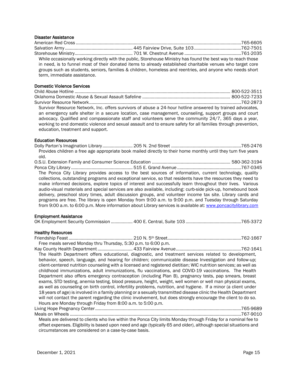#### Disaster Assistance

|                             | While occasionally working directly with the public, Storehouse Ministry has found the best way to reach those |  |
|-----------------------------|----------------------------------------------------------------------------------------------------------------|--|
|                             | in need, is to funnel most of their donated items to already established charitable venues who target core     |  |
|                             | groups such as students, seniors, families & children, homeless and reentries, and anyone who needs short      |  |
| term, immediate assistance. |                                                                                                                |  |

#### Domestic Violence Services

| Survivor Resource Network, Inc. offers survivors of abuse a 24-hour hotline answered by trained advocates,    |  |
|---------------------------------------------------------------------------------------------------------------|--|
| an emergency safe shelter in a secure location, case management, counseling, support groups and court         |  |
| advocacy. Qualified and compassionate staff and volunteers serve the community 24/7, 365 days a year,         |  |
| working to end domestic violence and sexual assault and to ensure safety for all families through prevention, |  |
| education, treatment and support.                                                                             |  |

#### Education Resources

| Provides children a free age appropriate book mailed directly to their home monthly until they turn five years |  |
|----------------------------------------------------------------------------------------------------------------|--|
| old.                                                                                                           |  |
|                                                                                                                |  |
|                                                                                                                |  |
| The Ponca City Library provides access to the best sources of information, current technology, quality         |  |
| collections, outstanding programs and exceptional service, so that residents have the resources they need to   |  |
| make informed decisions, explore topics of interest and successfully learn throughout their lives. Various     |  |
| audio-visual materials and special services are also available, including: curb-side pick-up, homebound book   |  |
| delivery, preschool story times, adult discussion groups, and volunteer income tax site. Library cards and     |  |
| programs are free. The library is open Monday from 9:00 a.m. to 9:00 p.m. and Tuesday through Saturday         |  |
| from 9:00 a.m. to 6:00 p.m. More information about Library services is available at: www.poncacitylibrary.com  |  |
|                                                                                                                |  |

#### Employment Assistance

|--|--|--|

#### Healthy Resources

|                                                                                                                                                                                                                               | Free meals served Monday thru Thursday, 5:30 p.m. to 6:00 p.m. |           |
|-------------------------------------------------------------------------------------------------------------------------------------------------------------------------------------------------------------------------------|----------------------------------------------------------------|-----------|
| . The contract of the contract of the contract of the contract of the contract of the contract of the contract of the contract of the contract of the contract of the contract of the contract of the contract of the contrac | $\sim$ $\sim$ $\sim$ $\sim$ $\sim$ $\sim$                      | --- -- -- |

Kay County Health Department ............................. 433 Fairview Avenue......................................................762-1641 The Health Department offers educational, diagnostic, and treatment services related to development, behavior, speech, language, and hearing for children; communicable disease Investigation and follow-up; client-centered nutrition counseling with a licensed and registered dietitian; WIC nutrition services; as well as childhood immunizations, adult immunizations, flu vaccinations, and COVID-19 vaccinations. The Health Department also offers emergency contraception (including Plan B), pregnancy tests, pap smears, breast exams, STD testing, anemia testing, blood pressure, height, weight, well women or well man physical exams, as well as counseling on birth control, infertility problems, nutrition, and hygiene. If a minor (a client under 18 years of age) is involved in a family planning or a sexually transmitted disease clinic the Health Department will not contact the parent regarding the clinic involvement, but does strongly encourage the client to do so. Hours are Monday through Friday from 8:00 a.m. to 5:00 p.m.

Living Hope Pregnancy Center.........................................................................................................................765-9689 Meals on Wheels ..............................................................................................................................................767-9010

Meals are delivered to clients who live within the Ponca City limits Monday through Friday for a nominal fee to offset expenses. Eligibility is based upon need and age (typically 65 and older), although special situations and circumstances are considered on a case-by-case basis.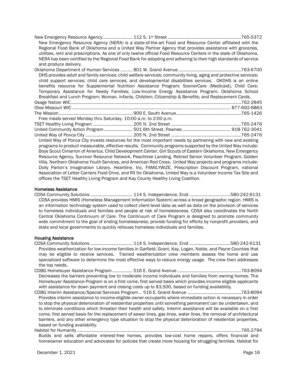|                       | New Emergency Resource Agency (NERA) is a state-of-the-art Food and Resource Center affiliated with the           |  |
|-----------------------|-------------------------------------------------------------------------------------------------------------------|--|
|                       | Regional Food Bank of Oklahoma and a United Way Partner Agency that provides assistance with groceries,           |  |
|                       | utilities, rent and prescriptions. As one of only twelve official Food Resource Centers in the state of Oklahoma, |  |
|                       | NERA has been certified by the Regional Food Bank for adopting and adhering to their high standards of service    |  |
| and produce delivery. |                                                                                                                   |  |

| DHS provides adult and family services; child welfare services; community living, aging and protective services; |  |
|------------------------------------------------------------------------------------------------------------------|--|
| child support services; child care services; and developmental disabilities services. OKDHS is an online         |  |
| benefits resource for Supplemental Nutrition Assistance Program; SoonerCare (Medicaid), Child Care;              |  |
| Temporary Assistance for Needy Families; Low-Income Energy Assistance Program; Oklahoma School                   |  |
| Breakfast and Lunch Program; Woman, Infants, Children; Citizenship & Benefits; and Replacement Cards.            |  |
|                                                                                                                  |  |
|                                                                                                                  |  |
|                                                                                                                  |  |
| Free meals served Monday thru Saturday, 10:00 a.m. to 2:00 p.m.                                                  |  |
|                                                                                                                  |  |
|                                                                                                                  |  |
|                                                                                                                  |  |
| United Way of Ponca City invests resources for the most important needs by partnering with new and existing      |  |
| programs to product measurable, effective results. Community programs supported by the United Way include:       |  |
| Boys Scout Cimarron of America, Child Development Center, Girl Scouts of Eastern Oklahoma, New Emergency         |  |
| Resource Agency, Survivor Resource Network, Peachtree Landing, Retired Senior Volunteer Program, Golden          |  |
| Villa, Northern Oklahoma Youth Services, and American Red Cross. United Way projects and programs include:       |  |
| Dolly Parton's Imagination Library, Heartline, Inc, FAMILYWIZE, Prescription Discount Program, national          |  |

## Homeless Assistance

CDSA Community Solutions ................................... 114 S. Independence, Enid ..................................580-242-6131 CDSA provides HMIS (Homeless Management Information System) across a broad geographic region. HMIS is an information technology system used to collect client-level data as well as data on the provision of services to homeless individuals and families and people at risk of homelessness. CDSA also coordinates the North Central Oklahoma Continuum of Care. The Continuum of Care Program is designed to promote community wide commitment to the goal of ending homelessness; provide funding for efforts by nonprofit providers, and state and local governments to quickly rehouse homeless individuals and families.

Association of Letter Carriers Food Drive, and RX for Oklahoma, United Way is a Volunteer Income Tax Site and

offices the TSET Healthy Living Program and Kay County Healthy Living Coalition.

#### Housing Assistance

- CDSA Community Solutions ................................... 114 S. Independence, Enid ..................................580-242-6131 Provides weatherization for low-income families in Garfield, Grant, Kay, Logan, Noble, and Payne Counties that may be eligible to receive services. Trained weatherization crew members assess the home and use specialized software to determine the most effective ways to reduce energy usage. The crew then addresses the top needs.
- CDBG Homebuyer Assistance Program................. 516 E. Grand Avenue .....................................................763-8094 Decreases the barriers preventing low to moderate income individuals and families from owning homes. The Homebuyer Assistance Program is on a first come, first served basis which provides income eligible applicants with assistance for down payment and closing costs up to \$3,500, based on funding availability.
- CDBG Interim Assistance/Special Services Program .. 516 E. Grand Avenue ............................................763-8094 Provides interim assistance to income-eligible owner-occupants where immediate action is necessary in order to stop the physical deterioration of residential properties until something permanent can be undertaken, and to eliminate conditions which threaten their health and safety. Interim assistance will be available on a first come, first served basis for the replacement of sewer lines, gas lines, water lines, the removal of architectural barriers, and any other emergency type situation to stop the physical deterioration of residential properties, based on funding availability.
- Habitat for Humanity ........................................................................................................................................765-2794 Builds and sells affordable interest-free homes, provides low-cost home repairs, offers financial and homeowner education and advocates for policies that create more housing for struggling families. Habitat for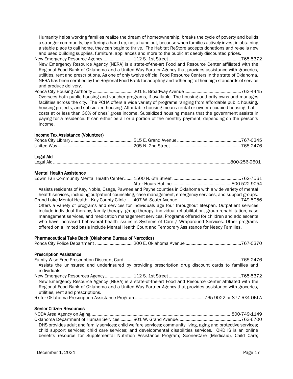Humanity helps working families realize the dream of homeownership, breaks the cycle of poverty and builds a stronger community, by offering a hand up, not a hand out, because when families actively invest in obtaining a stable place to call home, they can begin to thrive. The Habitat ReStore accepts donations and re-sells new and used building supplies, furniture, appliances and more to the public at deeply discounted prices.

- New Emergency Resource Agency......................... 112 S. 1st Street............................................................765-5372 New Emergency Resource Agency (NERA) is a state-of-the-art Food and Resource Center affiliated with the Regional Food Bank of Oklahoma and a United Way Partner Agency that provides assistance with groceries, utilities, rent and prescriptions. As one of only twelve official Food Resource Centers in the state of Oklahoma, NERA has been certified by the Regional Food Bank for adopting and adhering to their high standards of service and produce delivery.
- Ponca City Housing Authority ................................. 201 E. Broadway Avenue...............................................762-4445 Oversees both public housing and voucher programs, if available. The housing authority owns and manages facilities across the city. The PCHA offers a wide variety of programs ranging from affordable public housing, housing projects, and subsidized housing. Affordable housing means rental or owner-occupied housing that costs at or less than 30% of ones' gross income. Subsidized housing means that the government assists in paying for a residence. It can either be all or a portion of the monthly payment, depending on the person's income.

#### Income Tax Assistance (Volunteer)

#### Legal Aid

#### Mental Health Assistance

| Assistant de March 1/2014 al de March 2006 Deuxes and Deuxe counties in Oklohome with a wide you that us fragmental |  |
|---------------------------------------------------------------------------------------------------------------------|--|

Assists residents of Kay, Noble, Osage, Pawnee and Payne counties in Oklahoma with a wide variety of mental health services, including outpatient counseling, case management, emergency services, and support groups.

Grand Lake Mental Health - Kay County Clinic ..... 407 W. South Avenue ....................................................749-5056 Offers a variety of programs and services for individuals age four throughout lifespan. Outpatient services include individual therapy, family therapy, group therapy, individual rehabilitation, group rehabilitation, case management services, and medication management services. Programs offered for children and adolescents who have increased behavioral health issues is Systems of Care / Wraparound Services. Other programs offered on a limited basis include Mental Health Court and Temporary Assistance for Needy Families.

#### Pharmaceutical Take Back (Oklahoma Bureau of Narcotics)

|--|--|--|

#### Prescription Assistance

| Assists the uninsured and underinsured by providing prescription drug discount cards to families and    |                                                                                                                                                                                                                                                                                                                                                                                      |
|---------------------------------------------------------------------------------------------------------|--------------------------------------------------------------------------------------------------------------------------------------------------------------------------------------------------------------------------------------------------------------------------------------------------------------------------------------------------------------------------------------|
| individuals.                                                                                            |                                                                                                                                                                                                                                                                                                                                                                                      |
|                                                                                                         |                                                                                                                                                                                                                                                                                                                                                                                      |
| New Emergency Resource Agency (NERA) is a state-of-the-art Food and Resource Center affiliated with the |                                                                                                                                                                                                                                                                                                                                                                                      |
| Regional Food Bank of Oklahoma and a United Way Partner Agency that provides assistance with groceries, |                                                                                                                                                                                                                                                                                                                                                                                      |
| utilities, rent and prescriptions.                                                                      |                                                                                                                                                                                                                                                                                                                                                                                      |
|                                                                                                         | $\overline{z}$ $\overline{z}$ $\overline{z}$ $\overline{z}$ $\overline{z}$ $\overline{z}$ $\overline{z}$ $\overline{z}$ $\overline{z}$ $\overline{z}$ $\overline{z}$ $\overline{z}$ $\overline{z}$ $\overline{z}$ $\overline{z}$ $\overline{z}$ $\overline{z}$ $\overline{z}$ $\overline{z}$ $\overline{z}$ $\overline{z}$ $\overline{z}$ $\overline{z}$ $\overline{z}$ $\overline{$ |

Rx for Oklahoma-Prescription Assistance Program ......................................................... 765-9022 or 877-RX4-OKLA

Senior Citizen Resources NODA Area Agency on Aging ................................................................................................................... 800-749-1149 Oklahoma Department of Human Services .......... 801 W. Grand Avenue ....................................................763-6700 DHS provides adult and family services; child welfare services; community living, aging and protective services; child support services; child care services; and developmental disabilities services. OKDHS is an online benefits resource for Supplemental Nutrition Assistance Program; SoonerCare (Medicaid), Child Care;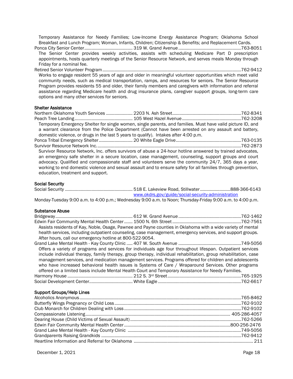Temporary Assistance for Needy Families; Low-Income Energy Assistance Program; Oklahoma School Breakfast and Lunch Program; Woman, Infants, Children; Citizenship & Benefits; and Replacement Cards. Ponca City Senior Center........................................ 319 W. Grand Avenue ....................................................763-8051

The Senior Center provides weekly activities, assists with scheduling Medicare Part D prescription appointments, hosts quarterly meetings of the Senior Resource Network, and serves meals Monday through Friday for a nominal fee.

Retired Senior Volunteer Program...................................................................................................................762-9412 Works to engage resident 55 years of age and older in meaningful volunteer opportunities which meet valid community needs, such as medical transportation, ramps, and resources for seniors. The Senior Resource Program provides residents 55 and older, their family members and caregivers with information and referral assistance regarding Medicare health and drug insurance plans, caregiver support groups, long-term care options and many other services for seniors.

#### Shelter Assistance

|                                   | Temporary Emergency Shelter for single women, single parents, and families. Must have valid picture ID, and   |  |
|-----------------------------------|---------------------------------------------------------------------------------------------------------------|--|
|                                   | a warrant clearance from the Police Department (Cannot have been arrested on any assault and battery,         |  |
|                                   | domestic violence, or drugs in the last 5 years to qualify). Intakes after 4:00 p.m.                          |  |
|                                   |                                                                                                               |  |
|                                   |                                                                                                               |  |
|                                   | Survivor Resource Network, Inc. offers survivors of abuse a 24-hour hotline answered by trained advocates,    |  |
|                                   | an emergency safe shelter in a secure location, case management, counseling, support groups and court         |  |
|                                   | advocacy. Qualified and compassionate staff and volunteers serve the community 24/7, 365 days a year,         |  |
|                                   | working to end domestic violence and sexual assault and to ensure safety for all families through prevention, |  |
| education, treatment and support. |                                                                                                               |  |

#### Social Security

| www.okdrs.gov/guide/social-security-administration |  |
|----------------------------------------------------|--|

Monday-Tuesday 9:00 a.m. to 4:00 p.m.; Wednesday 9:00 a.m. to Noon; Thursday-Friday 9:00 a.m. to 4:00 p.m.

#### Substance Abuse

|                                                          | Assists residents of Kay, Noble, Osage, Pawnee and Payne counties in Oklahoma with a wide variety of mental      |  |
|----------------------------------------------------------|------------------------------------------------------------------------------------------------------------------|--|
|                                                          | health services, including outpatient counseling, case management, emergency services, and support groups.       |  |
| After hours, call our emergency hotline at 800-522-9054. |                                                                                                                  |  |
|                                                          |                                                                                                                  |  |
|                                                          | Offers a variety of programs and services for individuals age four throughout lifespan. Outpatient services      |  |
|                                                          | include individual therapy, family therapy, group therapy, individual rehabilitation, group rehabilitation, case |  |
|                                                          | management services, and medication management services. Programs offered for children and adolescents           |  |
|                                                          | who have increased behavioral health issues is Systems of Care / Wraparound Services. Other programs             |  |
|                                                          | offered on a limited basis include Mental Health Court and Temporary Assistance for Needy Families.              |  |
|                                                          |                                                                                                                  |  |
|                                                          |                                                                                                                  |  |
|                                                          |                                                                                                                  |  |
| <b>Support Groups/Help Lines</b>                         |                                                                                                                  |  |
|                                                          |                                                                                                                  |  |
|                                                          |                                                                                                                  |  |
|                                                          |                                                                                                                  |  |
|                                                          |                                                                                                                  |  |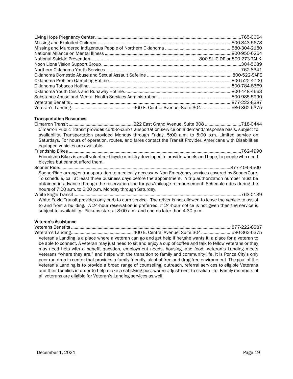#### Transportation Resources

Cimarron Transit ..................................................... 222 East Grand Avenue, Suite 308 ..............................718-0444 Cimarron Public Transit provides curb-to-curb transportation service on a demand/response basis, subject to availability. Transportation provided Monday through Friday, 5:00 a.m. to 5:00 p.m. Limited service on Saturdays. For hours of operation, routes, and fares contact the Transit Provider. Americans with Disabilities equipped vehicles are available. Friendship Bikes ...............................................................................................................................................762-4990 Friendship Bikes is an all-volunteer bicycle ministry developed to provide wheels and hope, to people who need bicycles but cannot afford them. Sooner Ride..............................................................................................................................................877-404-4500 SoonerRide arranges transportation to medically necessary Non-Emergency services covered by SoonerCare. To schedule, call at least three business days before the appointment. A trip authorization number must be obtained in advance through the reservation line for gas/mileage reimbursement. Schedule rides during the hours of 7:00 a.m. to 6:00 p.m. Monday through Saturday. White Eagle Transit...........................................................................................................................................763-0139 White Eagle Transit provides only curb to curb service. The driver is not allowed to leave the vehicle to assist to and from a building. A 24-hour reservation is preferred, if 24-hour notice is not given then the service is subject to availability. Pickups start at 8:00 a.m. and end no later than 4:30 p.m.

## Veteran's Assistance

Veterans Benefits .................................................................................................................................... 877-222-8387 Veteran's Landing................................................... 400 E. Central Avenue, Suite 304........................ 580-362-6375 Veteran's Landing is a place where a veteran can go and get help if he\she wants it; a place for a veteran to be able to connect. A veteran may just need to sit and enjoy a cup of coffee and talk to fellow veterans or they may need help with a benefit question, employment needs, housing, and food. Veteran's Landing meets Veterans "where they are," and helps with the transition to family and community life. It is Ponca City's only peer run drop-in center that provides a family friendly, alcohol-free and drug free environment. The goal of the Veteran's Landing is to provide a broad range of counseling, outreach, referral services to eligible Veterans and their families in order to help make a satisfying post-war re-adjustment to civilian life. Family members of all veterans are eligible for Veteran's Landing services as well.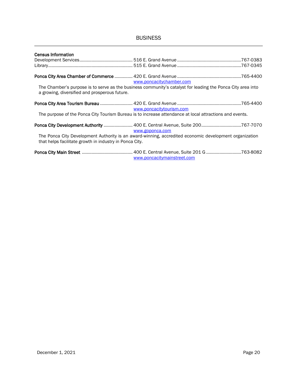# **BUSINESS**

| <b>Census Information</b>                               |                                                                                                             |  |
|---------------------------------------------------------|-------------------------------------------------------------------------------------------------------------|--|
|                                                         |                                                                                                             |  |
|                                                         | www.poncacitychamber.com                                                                                    |  |
| a growing, diversified and prosperous future.           | The Chamber's purpose is to serve as the business community's catalyst for leading the Ponca City area into |  |
|                                                         | www.poncacitytourism.com                                                                                    |  |
|                                                         | The purpose of the Ponca City Tourism Bureau is to increase attendance at local attractions and events.     |  |
|                                                         | Ponca City Development Authority  400 E. Central Avenue, Suite 200767-7070<br>www.goponca.com               |  |
| that helps facilitate growth in industry in Ponca City. | The Ponca City Development Authority is an award-winning, accredited economic development organization      |  |
|                                                         | www.poncacitymainstreet.com                                                                                 |  |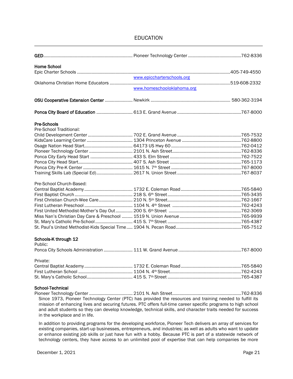## EDUCATION

| <b>Home School</b>                                                                                                                                                                                                                                                                                                                                                         |                            |  |
|----------------------------------------------------------------------------------------------------------------------------------------------------------------------------------------------------------------------------------------------------------------------------------------------------------------------------------------------------------------------------|----------------------------|--|
|                                                                                                                                                                                                                                                                                                                                                                            |                            |  |
|                                                                                                                                                                                                                                                                                                                                                                            |                            |  |
|                                                                                                                                                                                                                                                                                                                                                                            |                            |  |
|                                                                                                                                                                                                                                                                                                                                                                            | www.homeschooloklahoma.org |  |
|                                                                                                                                                                                                                                                                                                                                                                            |                            |  |
|                                                                                                                                                                                                                                                                                                                                                                            |                            |  |
| <b>Pre-Schools</b>                                                                                                                                                                                                                                                                                                                                                         |                            |  |
| Pre-School Traditional:                                                                                                                                                                                                                                                                                                                                                    |                            |  |
|                                                                                                                                                                                                                                                                                                                                                                            |                            |  |
|                                                                                                                                                                                                                                                                                                                                                                            |                            |  |
|                                                                                                                                                                                                                                                                                                                                                                            |                            |  |
|                                                                                                                                                                                                                                                                                                                                                                            |                            |  |
|                                                                                                                                                                                                                                                                                                                                                                            |                            |  |
|                                                                                                                                                                                                                                                                                                                                                                            |                            |  |
|                                                                                                                                                                                                                                                                                                                                                                            |                            |  |
|                                                                                                                                                                                                                                                                                                                                                                            |                            |  |
| Pre-School Church-Based:                                                                                                                                                                                                                                                                                                                                                   |                            |  |
|                                                                                                                                                                                                                                                                                                                                                                            |                            |  |
|                                                                                                                                                                                                                                                                                                                                                                            |                            |  |
|                                                                                                                                                                                                                                                                                                                                                                            |                            |  |
|                                                                                                                                                                                                                                                                                                                                                                            |                            |  |
|                                                                                                                                                                                                                                                                                                                                                                            |                            |  |
|                                                                                                                                                                                                                                                                                                                                                                            |                            |  |
|                                                                                                                                                                                                                                                                                                                                                                            |                            |  |
|                                                                                                                                                                                                                                                                                                                                                                            |                            |  |
| Schools-K through 12                                                                                                                                                                                                                                                                                                                                                       |                            |  |
| Public:                                                                                                                                                                                                                                                                                                                                                                    |                            |  |
|                                                                                                                                                                                                                                                                                                                                                                            |                            |  |
| Private:                                                                                                                                                                                                                                                                                                                                                                   |                            |  |
|                                                                                                                                                                                                                                                                                                                                                                            |                            |  |
|                                                                                                                                                                                                                                                                                                                                                                            |                            |  |
|                                                                                                                                                                                                                                                                                                                                                                            |                            |  |
| School-Technical                                                                                                                                                                                                                                                                                                                                                           |                            |  |
| Since 1973, Pioneer Technology Center (PTC) has provided the resources and training needed to fulfill its<br>mission of enhancing lives and securing futures. PTC offers full-time career specific programs to high school<br>and adult students so they can develop knowledge, technical skills, and character traits needed for success<br>in the workplace and in life. |                            |  |
| In addition to providing programs for the developing workforce. Pioneer Tech delivers an array of services for                                                                                                                                                                                                                                                             |                            |  |

In addition to providing programs for the developing workforce, Pioneer Tech delivers an array of services for In addition to providing programs for the developing workforce, Ploneer Tech delivers an array of services for<br>existing companies, start-up businesses, entrepreneurs, and industries; as well as adults who want to update or enhance existing job skills or just have fun with a hobby. Because PTC is part of a statewide network of technology centers, they have access to an unlimited pool of expertise that can help companies be more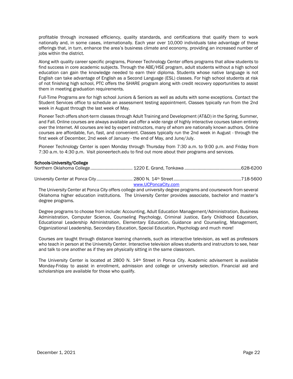profitable through increased efficiency, quality standards, and certifications that qualify them to work nationally and, in some cases, internationally. Each year over 10,000 individuals take advantage of these offerings that, in turn, enhance the area's business climate and economy, providing an increased number of jobs within the district.

Along with quality career specific programs, Pioneer Technology Center offers programs that allow students to find success in core academic subjects. Through the ABE/HSE program, adult students without a high school education can gain the knowledge needed to earn their diploma. Students whose native language is not English can take advantage of English as a Second Language (ESL) classes. For high school students at risk of not finishing high school, PTC offers the SHARE program along with credit recovery opportunities to assist them in meeting graduation requirements.

Full-Time Programs are for high school Juniors & Seniors as well as adults with some exceptions. Contact the Student Services office to schedule an assessment testing appointment. Classes typically run from the 2nd week in August through the last week of May.

Pioneer Tech offers short-term classes through Adult Training and Development (AT&D) in the Spring, Summer, and Fall. Online courses are always available and offer a wide range of highly interactive courses taken entirely over the Internet. All courses are led by expert instructors, many of whom are nationally known authors. Online courses are affordable, fun, fast, and convenient. Classes typically run the 2nd week in August - through the first week of December, 2nd week of January - the end of May, and June/July.

Pioneer Technology Center is open Monday through Thursday from 7:30 a.m. to 9:00 p.m. and Friday from 7:30 a.m. to 4:30 p.m. Visit pioneertech.edu to find out more about their programs and services.

#### Schools-University/College

| www.UCPoncaCity.com |  |
|---------------------|--|

The University Center at Ponca City offers college and university degree programs and coursework from several Oklahoma higher education institutions. The University Center provides associate, bachelor and master's degree programs.

Degree programs to choose from include: Accounting, Adult Education Management/Administration, Business Administration, Computer Science, Counseling Psychology, Criminal Justice, Early Childhood Education, Educational Leadership Administration, Elementary Education, Guidance and Counseling, Management, Organizational Leadership, Secondary Education, Special Education, Psychology and much more!

Courses are taught through distance learning channels, such as interactive television, as well as professors who teach in person at the University Center. Interactive television allows students and instructors to see, hear and talk to one another as if they are physically sitting in the same classroom.

The University Center is located at 2800 N. 14<sup>th</sup> Street in Ponca City. Academic advisement is available Monday-Friday to assist in enrollment, admission and college or university selection. Financial aid and scholarships are available for those who qualify.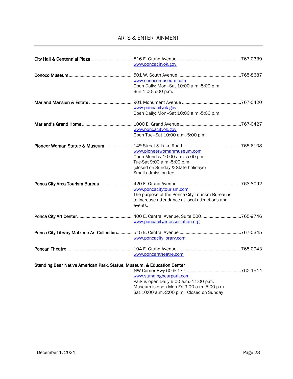# ARTS & ENTERTAINMENT

|                                                                        | www.poncacityok.gov                             |  |
|------------------------------------------------------------------------|-------------------------------------------------|--|
|                                                                        |                                                 |  |
|                                                                        | www.conocomuseum.com                            |  |
|                                                                        | Open Daily: Mon-Sat 10:00 a.m.-5:00 p.m.        |  |
|                                                                        | Sun 1:00-5:00 p.m.                              |  |
|                                                                        |                                                 |  |
|                                                                        | www.poncacityok.gov                             |  |
|                                                                        | Open Daily: Mon-Sat 10:00 a.m.-5:00 p.m.        |  |
|                                                                        |                                                 |  |
|                                                                        | www.poncacityok.gov                             |  |
|                                                                        | Open Tue-Sat 10:00 a.m.-5:00 p.m.               |  |
|                                                                        |                                                 |  |
|                                                                        | www.pioneerwomanmuseum.com                      |  |
|                                                                        | Open Monday 10:00 a.m.-5:00 p.m.                |  |
|                                                                        | Tue-Sat 9:00 a.m.-5:00 p.m.                     |  |
|                                                                        | (closed on Sunday & State holidays)             |  |
|                                                                        | Small admission fee                             |  |
|                                                                        |                                                 |  |
|                                                                        | www.poncacitytourism.com                        |  |
|                                                                        | The purpose of the Ponca City Tourism Bureau is |  |
|                                                                        | to increase attendance at local attractions and |  |
|                                                                        | events.                                         |  |
|                                                                        |                                                 |  |
|                                                                        | www.poncacityartassociation.org                 |  |
|                                                                        |                                                 |  |
|                                                                        | www.poncacitylibrary.com                        |  |
|                                                                        |                                                 |  |
|                                                                        | www.poncantheatre.com                           |  |
| Standing Bear Native American Park, Statue, Museum, & Education Center |                                                 |  |
|                                                                        |                                                 |  |
|                                                                        | www.standingbearpark.com                        |  |
|                                                                        | Park is open Daily 6:00 a.m.-11:00 p.m.         |  |
|                                                                        | Museum is open Mon-Fri 9:00 a.m.-5:00 p.m.      |  |
|                                                                        | Sat 10:00 a.m.-2:00 p.m. Closed on Sunday       |  |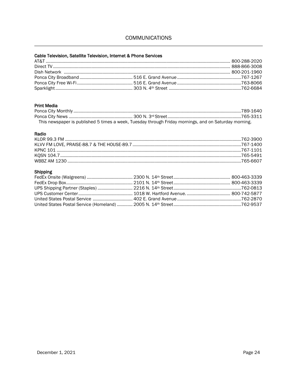# **COMMUNICATIONS**

## Cable Television, Satellite Television, Internet & Phone Services

## **Print Media**

|  | This newspaper is published 5 times a week, Tuesday through Friday mornings, and on Saturday morning. |  |
|--|-------------------------------------------------------------------------------------------------------|--|

#### Radio

## **Shipping**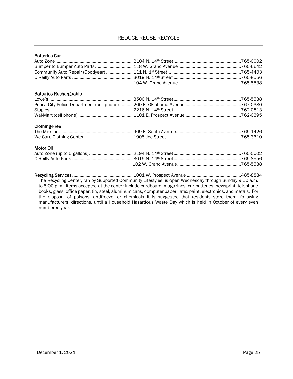## REDUCE REUSE RECYCLE

| <b>Batteries-Car</b>                                                                                                                                                                                                   |  |
|------------------------------------------------------------------------------------------------------------------------------------------------------------------------------------------------------------------------|--|
|                                                                                                                                                                                                                        |  |
|                                                                                                                                                                                                                        |  |
|                                                                                                                                                                                                                        |  |
|                                                                                                                                                                                                                        |  |
|                                                                                                                                                                                                                        |  |
| <b>Batteries-Rechargeable</b>                                                                                                                                                                                          |  |
|                                                                                                                                                                                                                        |  |
|                                                                                                                                                                                                                        |  |
|                                                                                                                                                                                                                        |  |
|                                                                                                                                                                                                                        |  |
| <b>Clothing-Free</b>                                                                                                                                                                                                   |  |
|                                                                                                                                                                                                                        |  |
|                                                                                                                                                                                                                        |  |
| Motor Oil                                                                                                                                                                                                              |  |
|                                                                                                                                                                                                                        |  |
|                                                                                                                                                                                                                        |  |
|                                                                                                                                                                                                                        |  |
|                                                                                                                                                                                                                        |  |
| The Recycling Center, ran by Supported Community Lifestyles, is open Wednesday through Sunday 9:00 a.m.<br>to 5:00 p.m. Items accepted at the center include cardboard, magazines, car batteries, newsprint, telephone |  |

books, glass, office paper, tin, steel, aluminum cans, computer paper, latex paint, electronics, and metals. For the disposal of poisons, antifreeze, or chemicals it is suggested that residents store them, following manufacturers' directions, until a Household Hazardous Waste Day which is held in October of every even numbered year.